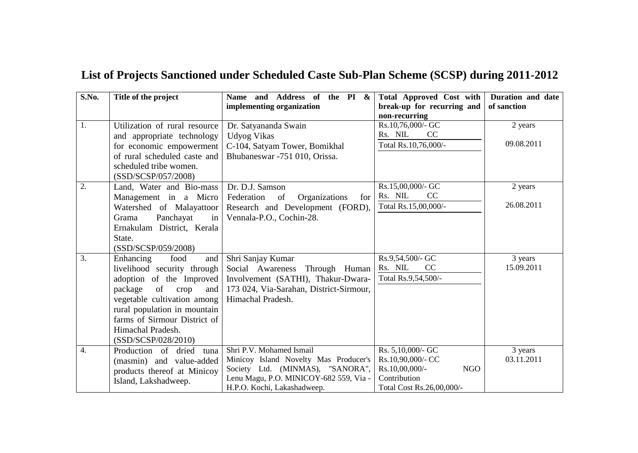| S.No. | Title of the project          | Name and Address of the PI &<br>implementing organization | <b>Total Approved Cost with</b><br>break-up for recurring and<br>non-recurring | Duration and date<br>of sanction |
|-------|-------------------------------|-----------------------------------------------------------|--------------------------------------------------------------------------------|----------------------------------|
| 1.    | Utilization of rural resource | Dr. Satyananda Swain                                      | Rs.10,76,000/- GC                                                              | 2 years                          |
|       | and appropriate technology    | <b>Udyog Vikas</b>                                        | Rs. NIL<br>CC                                                                  |                                  |
|       | for economic empowerment      | C-104, Satyam Tower, Bomikhal                             | Total Rs.10,76,000/-                                                           | 09.08.2011                       |
|       | of rural scheduled caste and  | Bhubaneswar -751 010, Orissa.                             |                                                                                |                                  |
|       | scheduled tribe women.        |                                                           |                                                                                |                                  |
|       | (SSD/SCSP/057/2008)           |                                                           |                                                                                |                                  |
| 2.    | Land, Water and Bio-mass      | Dr. D.J. Samson                                           | Rs.15,00,000/- GC                                                              | 2 years                          |
|       | Management in a Micro         | <sub>of</sub><br>Federation<br>Organizations<br>for       | Rs. NIL<br>CC                                                                  |                                  |
|       | Watershed of Malayattoor      | Research and Development (FORD),                          | Total Rs.15,00,000/-                                                           | 26.08.2011                       |
|       | Panchayat<br>Grama<br>in      | Vennala-P.O., Cochin-28.                                  |                                                                                |                                  |
|       | Ernakulam District, Kerala    |                                                           |                                                                                |                                  |
|       | State.                        |                                                           |                                                                                |                                  |
|       | (SSD/SCSP/059/2008)           |                                                           |                                                                                |                                  |
| 3.    | Enhancing<br>food<br>and      | Shri Sanjay Kumar                                         | Rs.9,54,500/- GC                                                               | 3 years                          |
|       | livelihood security through   | Social Awareness Through Human                            | Rs. NIL<br>CC                                                                  | 15.09.2011                       |
|       | adoption of the Improved      | Involvement (SATHI), Thakur-Dwara-                        | Total Rs.9,54,500/-                                                            |                                  |
|       | package<br>of<br>crop<br>and  | 173 024, Via-Sarahan, District-Sirmour,                   |                                                                                |                                  |
|       | vegetable cultivation among   | Himachal Pradesh.                                         |                                                                                |                                  |
|       | rural population in mountain  |                                                           |                                                                                |                                  |
|       | farms of Sirmour District of  |                                                           |                                                                                |                                  |
|       | Himachal Pradesh.             |                                                           |                                                                                |                                  |
|       | (SSD/SCSP/028/2010)           |                                                           |                                                                                |                                  |
| 4.    | Production of dried tuna      | Shri P.V. Mohamed Ismail                                  | Rs. 5,10,000/- GC                                                              | 3 years                          |
|       | (masmin) and value-added      | Minicoy Island Novelty Mas Producer's                     | Rs.10,90,000/- CC                                                              | 03.11.2011                       |
|       | products thereof at Minicoy   | Society Ltd. (MINMAS), "SANORA",                          | <b>NGO</b><br>Rs.10,00,000/-                                                   |                                  |
|       | Island, Lakshadweep.          | Lenu Magu, P.O. MINICOY-682 559, Via -                    | Contribution                                                                   |                                  |
|       |                               | H.P.O. Kochi, Lakashadweep.                               | Total Cost Rs.26,00,000/-                                                      |                                  |

## **List of Projects Sanctioned under Scheduled Caste Sub-Plan Scheme (SCSP) during 2011-2012**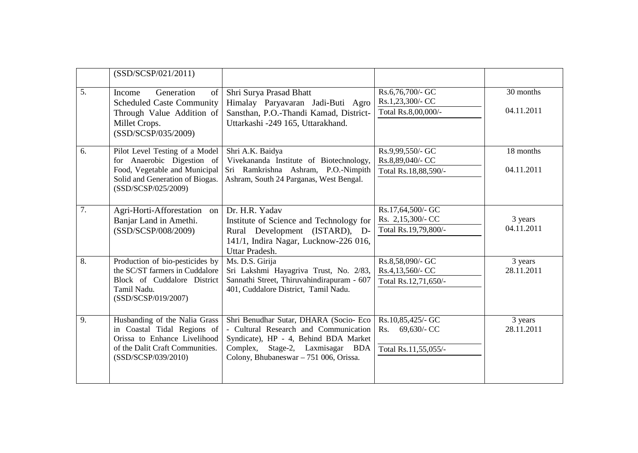|                  | (SSD/SCSP/021/2011)                                                                                                                                     |                                                                                                                                                                                                        |                                                                 |                         |
|------------------|---------------------------------------------------------------------------------------------------------------------------------------------------------|--------------------------------------------------------------------------------------------------------------------------------------------------------------------------------------------------------|-----------------------------------------------------------------|-------------------------|
| 5.               | Generation<br>Income<br>of<br><b>Scheduled Caste Community</b><br>Through Value Addition of<br>Millet Crops.<br>(SSD/SCSP/035/2009)                     | Shri Surya Prasad Bhatt<br>Himalay Paryavaran Jadi-Buti Agro<br>Sansthan, P.O.-Thandi Kamad, District-<br>Uttarkashi -249 165, Uttarakhand.                                                            | Rs.6,76,700/- GC<br>Rs.1,23,300/- CC<br>Total Rs.8,00,000/-     | 30 months<br>04.11.2011 |
| 6.               | Pilot Level Testing of a Model<br>for Anaerobic Digestion of<br>Food, Vegetable and Municipal<br>Solid and Generation of Biogas.<br>(SSD/SCSP/025/2009) | Shri A.K. Baidya<br>Vivekananda Institute of Biotechnology,<br>Sri Ramkrishna Ashram, P.O.-Nimpith<br>Ashram, South 24 Parganas, West Bengal.                                                          | Rs.9,99,550/- GC<br>Rs.8,89,040/- CC<br>Total Rs.18,88,590/-    | 18 months<br>04.11.2011 |
| 7.               | Agri-Horti-Afforestation<br>on<br>Banjar Land in Amethi.<br>(SSD/SCSP/008/2009)                                                                         | Dr. H.R. Yadav<br>Institute of Science and Technology for<br>Rural Development (ISTARD), D-<br>141/1, Indira Nagar, Lucknow-226 016,<br>Uttar Pradesh.                                                 | Rs.17,64,500/- GC<br>Rs. 2,15,300/- CC<br>Total Rs.19,79,800/-  | 3 years<br>04.11.2011   |
| $\overline{8}$ . | Production of bio-pesticides by<br>the SC/ST farmers in Cuddalore<br>Block of Cuddalore District<br>Tamil Nadu.<br>(SSD/SCSP/019/2007)                  | Ms. D.S. Girija<br>Sri Lakshmi Hayagriva Trust, No. 2/83,<br>Sannathi Street, Thiruvahindirapuram - 607<br>401, Cuddalore District, Tamil Nadu.                                                        | Rs.8,58,090/- GC<br>Rs.4,13,560/- CC<br>Total Rs.12,71,650/-    | 3 years<br>28.11.2011   |
| 9.               | Husbanding of the Nalia Grass<br>in Coastal Tidal Regions of<br>Orissa to Enhance Livelihood<br>of the Dalit Craft Communities.<br>(SSD/SCSP/039/2010)  | Shri Benudhar Sutar, DHARA (Socio- Eco<br>- Cultural Research and Communication<br>Syndicate), HP - 4, Behind BDA Market<br>Complex, Stage-2, Laxmisagar BDA<br>Colony, Bhubaneswar - 751 006, Orissa. | Rs.10,85,425/- GC<br>69,630/- CC<br>Rs.<br>Total Rs.11,55,055/- | 3 years<br>28.11.2011   |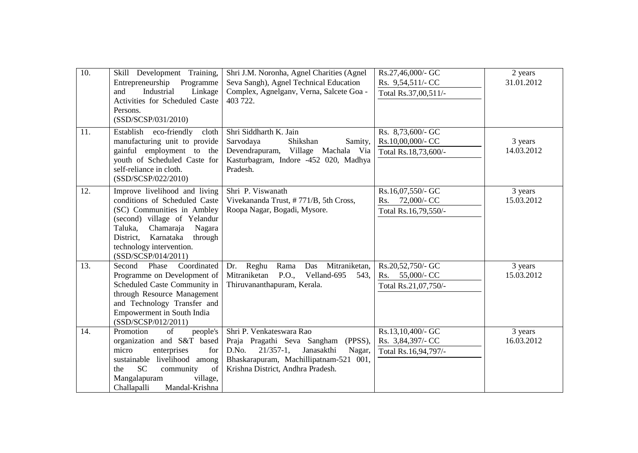| 10. | Skill Development Training,<br>Entrepreneurship Programme<br>and<br>Industrial<br>Linkage<br>Activities for Scheduled Caste<br>Persons.<br>(SSD/SCSP/031/2010)                                                                                         | Shri J.M. Noronha, Agnel Charities (Agnel<br>Seva Sangh), Agnel Technical Education<br>Complex, Agnelganv, Verna, Salcete Goa -<br>403 722.                                                        | Rs.27,46,000/- GC<br>Rs. 9,54,511/- CC<br>Total Rs.37,00,511/-  | 2 years<br>31.01.2012 |
|-----|--------------------------------------------------------------------------------------------------------------------------------------------------------------------------------------------------------------------------------------------------------|----------------------------------------------------------------------------------------------------------------------------------------------------------------------------------------------------|-----------------------------------------------------------------|-----------------------|
| 11. | Establish eco-friendly<br>cloth<br>manufacturing unit to provide<br>gainful employment to the<br>youth of Scheduled Caste for<br>self-reliance in cloth.<br>(SSD/SCSP/022/2010)                                                                        | Shri Siddharth K. Jain<br>Sarvodaya<br>Shikshan<br>Samity,<br>Devendrapuram, Village Machala Via<br>Kasturbagram, Indore -452 020, Madhya<br>Pradesh.                                              | Rs. 8,73,600/- GC<br>Rs.10,00,000/- CC<br>Total Rs.18,73,600/-  | 3 years<br>14.03.2012 |
| 12. | Improve livelihood and living<br>conditions of Scheduled Caste<br>(SC) Communities in Ambley<br>(second) village of Yelandur<br>Taluka,<br>Chamaraja<br>Nagara<br>District,<br>Karnataka<br>through<br>technology intervention.<br>(SSD/SCSP/014/2011) | Shri P. Viswanath<br>Vivekananda Trust, #771/B, 5th Cross,<br>Roopa Nagar, Bogadi, Mysore.                                                                                                         | Rs.16,07,550/- GC<br>72,000/- CC<br>Rs.<br>Total Rs.16,79,550/- | 3 years<br>15.03.2012 |
| 13. | Coordinated<br>Second<br>Phase<br>Programme on Development of<br>Scheduled Caste Community in<br>through Resource Management<br>and Technology Transfer and<br><b>Empowerment</b> in South India<br>(SSD/SCSP/012/2011)                                | Mitraniketan,<br>Dr. Reghu<br>Rama<br>Das<br>Mitraniketan<br>P.O.,<br>Velland-695<br>543,<br>Thiruvananthapuram, Kerala.                                                                           | Rs.20,52,750/- GC<br>55,000/- CC<br>Rs.<br>Total Rs.21,07,750/- | 3 years<br>15.03.2012 |
| 14. | Promotion<br>of<br>people's<br>organization and S&T based<br>micro<br>enterprises<br>for<br>sustainable livelihood among<br><b>SC</b><br>community<br>of<br>the<br>Mangalapuram<br>village,<br>Mandal-Krishna<br>Challapalli                           | Shri P. Venkateswara Rao<br>Praja Pragathi Seva Sangham<br>(PPSS),<br>Janasakthi<br>D.No.<br>$21/357-1$ ,<br>Nagar,<br>Bhaskarapuram, Machillipatnam-521 001,<br>Krishna District, Andhra Pradesh. | Rs.13,10,400/- GC<br>Rs. 3,84,397/- CC<br>Total Rs.16,94,797/-  | 3 years<br>16.03.2012 |